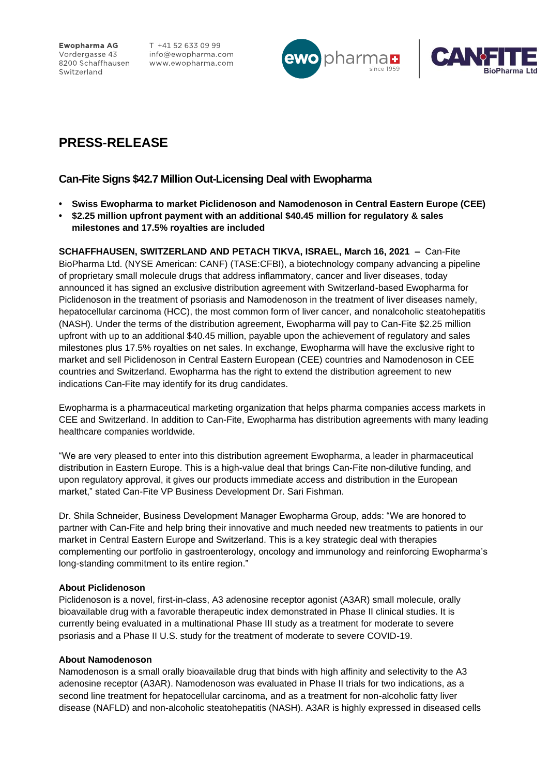**Ewopharma AG** Vordergasse 43 8200 Schaffhausen Switzerland

T +41 52 633 09 99 info@ewopharma.com www.ewopharma.com





# **PRESS-RELEASE**

## **Can-Fite Signs \$42.7 Million Out-Licensing Deal with Ewopharma**

- **• Swiss Ewopharma to market Piclidenoson and Namodenoson in Central Eastern Europe (CEE)**
- **• \$2.25 million upfront payment with an additional \$40.45 million for regulatory & sales milestones and 17.5% royalties are included**

**SCHAFFHAUSEN, SWITZERLAND AND PETACH TIKVA, ISRAEL, March 16, 2021 –** Can-Fite BioPharma Ltd. (NYSE American: CANF) (TASE:CFBI), a biotechnology company advancing a pipeline of proprietary small molecule drugs that address inflammatory, cancer and liver diseases, today announced it has signed an exclusive distribution agreement with Switzerland-based Ewopharma for Piclidenoson in the treatment of psoriasis and Namodenoson in the treatment of liver diseases namely, hepatocellular carcinoma (HCC), the most common form of liver cancer, and nonalcoholic steatohepatitis (NASH). Under the terms of the distribution agreement, Ewopharma will pay to Can-Fite \$2.25 million upfront with up to an additional \$40.45 million, payable upon the achievement of regulatory and sales milestones plus 17.5% royalties on net sales. In exchange, Ewopharma will have the exclusive right to market and sell Piclidenoson in Central Eastern European (CEE) countries and Namodenoson in CEE countries and Switzerland. Ewopharma has the right to extend the distribution agreement to new indications Can-Fite may identify for its drug candidates.

Ewopharma is a pharmaceutical marketing organization that helps pharma companies access markets in CEE and Switzerland. In addition to Can-Fite, Ewopharma has distribution agreements with many leading healthcare companies worldwide.

"We are very pleased to enter into this distribution agreement Ewopharma, a leader in pharmaceutical distribution in Eastern Europe. This is a high-value deal that brings Can-Fite non-dilutive funding, and upon regulatory approval, it gives our products immediate access and distribution in the European market," stated Can-Fite VP Business Development Dr. Sari Fishman.

Dr. Shila Schneider, Business Development Manager Ewopharma Group, adds: "We are honored to partner with Can-Fite and help bring their innovative and much needed new treatments to patients in our market in Central Eastern Europe and Switzerland. This is a key strategic deal with therapies complementing our portfolio in gastroenterology, oncology and immunology and reinforcing Ewopharma's long-standing commitment to its entire region."

### **About Piclidenoson**

Piclidenoson is a novel, first-in-class, A3 adenosine receptor agonist (A3AR) small molecule, orally bioavailable drug with a favorable therapeutic index demonstrated in Phase II clinical studies. It is currently being evaluated in a multinational Phase III study as a treatment for moderate to severe psoriasis and a Phase II U.S. study for the treatment of moderate to severe COVID-19.

### **About Namodenoson**

Namodenoson is a small orally bioavailable drug that binds with high affinity and selectivity to the A3 adenosine receptor (A3AR). Namodenoson was evaluated in Phase II trials for two indications, as a second line treatment for hepatocellular carcinoma, and as a treatment for non-alcoholic fatty liver disease (NAFLD) and non-alcoholic steatohepatitis (NASH). A3AR is highly expressed in diseased cells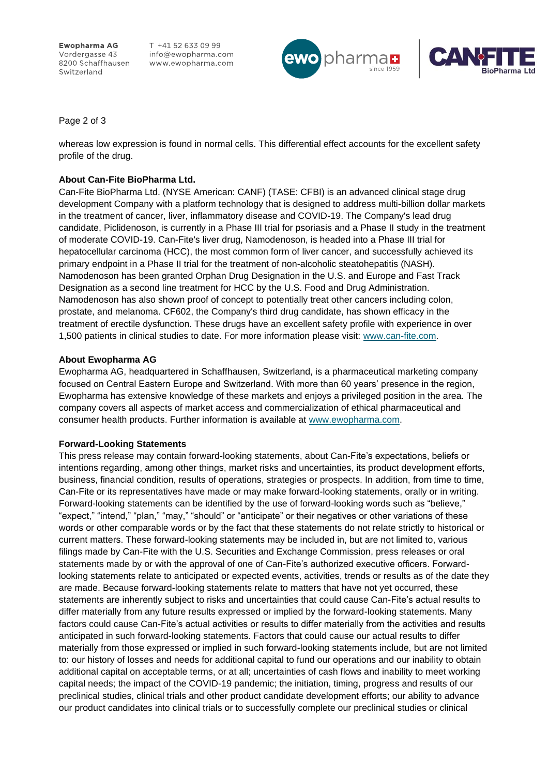**Ewopharma AG** Vordergasse 43 8200 Schaffhausen Switzerland

T +41 52 633 09 99 info@ewopharma.com www.ewopharma.com





Page 2 of 3

whereas low expression is found in normal cells. This differential effect accounts for the excellent safety profile of the drug.

### **About Can-Fite BioPharma Ltd.**

Can-Fite BioPharma Ltd. (NYSE American: CANF) (TASE: CFBI) is an advanced clinical stage drug development Company with a platform technology that is designed to address multi-billion dollar markets in the treatment of cancer, liver, inflammatory disease and COVID-19. The Company's lead drug candidate, Piclidenoson, is currently in a Phase III trial for psoriasis and a Phase II study in the treatment of moderate COVID-19. Can-Fite's liver drug, Namodenoson, is headed into a Phase III trial for hepatocellular carcinoma (HCC), the most common form of liver cancer, and successfully achieved its primary endpoint in a Phase II trial for the treatment of non-alcoholic steatohepatitis (NASH). Namodenoson has been granted Orphan Drug Designation in the U.S. and Europe and Fast Track Designation as a second line treatment for HCC by the U.S. Food and Drug Administration. Namodenoson has also shown proof of concept to potentially treat other cancers including colon, prostate, and melanoma. CF602, the Company's third drug candidate, has shown efficacy in the treatment of erectile dysfunction. These drugs have an excellent safety profile with experience in over 1,500 patients in clinical studies to date. For more information please visit: [www.can-fite.com.](http://www.can-fite.com/)

### **About Ewopharma AG**

Ewopharma AG, headquartered in Schaffhausen, Switzerland, is a pharmaceutical marketing company focused on Central Eastern Europe and Switzerland. With more than 60 years' presence in the region, Ewopharma has extensive knowledge of these markets and enjoys a privileged position in the area. The company covers all aspects of market access and commercialization of ethical pharmaceutical and consumer health products. Further information is available at [www.ewopharma.com.](http://www.ewopharma.com/)

### **Forward-Looking Statements**

This press release may contain forward-looking statements, about Can-Fite's expectations, beliefs or intentions regarding, among other things, market risks and uncertainties, its product development efforts, business, financial condition, results of operations, strategies or prospects. In addition, from time to time, Can-Fite or its representatives have made or may make forward-looking statements, orally or in writing. Forward-looking statements can be identified by the use of forward-looking words such as "believe," "expect," "intend," "plan," "may," "should" or "anticipate" or their negatives or other variations of these words or other comparable words or by the fact that these statements do not relate strictly to historical or current matters. These forward-looking statements may be included in, but are not limited to, various filings made by Can-Fite with the U.S. Securities and Exchange Commission, press releases or oral statements made by or with the approval of one of Can-Fite's authorized executive officers. Forwardlooking statements relate to anticipated or expected events, activities, trends or results as of the date they are made. Because forward-looking statements relate to matters that have not yet occurred, these statements are inherently subject to risks and uncertainties that could cause Can-Fite's actual results to differ materially from any future results expressed or implied by the forward-looking statements. Many factors could cause Can-Fite's actual activities or results to differ materially from the activities and results anticipated in such forward-looking statements. Factors that could cause our actual results to differ materially from those expressed or implied in such forward-looking statements include, but are not limited to: our history of losses and needs for additional capital to fund our operations and our inability to obtain additional capital on acceptable terms, or at all; uncertainties of cash flows and inability to meet working capital needs; the impact of the COVID-19 pandemic; the initiation, timing, progress and results of our preclinical studies, clinical trials and other product candidate development efforts; our ability to advance our product candidates into clinical trials or to successfully complete our preclinical studies or clinical